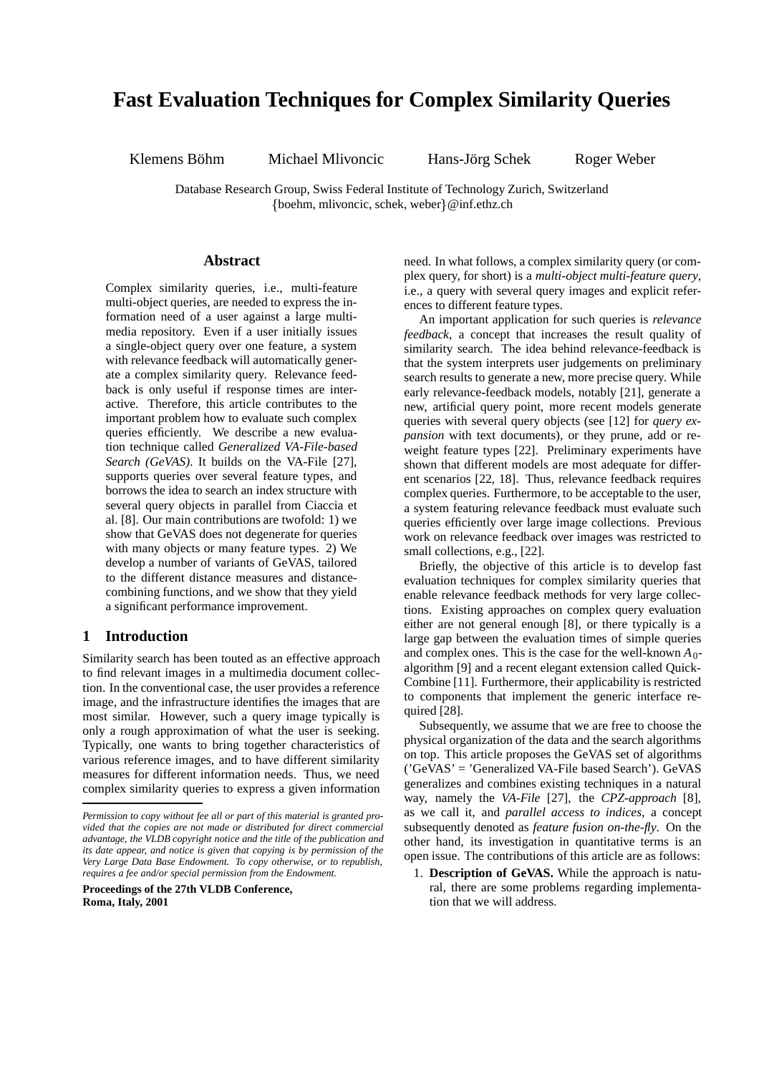# **Fast Evaluation Techniques for Complex Similarity Queries**

Klemens Böhm Michael Mlivoncic Hans-Jörg Schek Roger Weber

Database Research Group, Swiss Federal Institute of Technology Zurich, Switzerland  $\{boehm, mlivoncic, \,schek, \,weber\} @ inf.ethz.ch$ 

# **Abstract**

Complex similarity queries, i.e., multi-feature multi-object queries, are needed to express the information need of a user against a large multimedia repository. Even if a user initially issues a single-object query over one feature, a system with relevance feedback will automatically generate a complex similarity query. Relevance feedback is only useful if response times are interactive. Therefore, this article contributes to the important problem how to evaluate such complex queries efficiently. We describe a new evaluation technique called *Generalized VA-File-based Search (GeVAS)*. It builds on the VA-File [27], supports queries over several feature types, and borrows the idea to search an index structure with several query objects in parallel from Ciaccia et al. [8]. Our main contributions are twofold: 1) we show that GeVAS does not degenerate for queries with many objects or many feature types. 2) We develop a number of variants of GeVAS, tailored to the different distance measures and distancecombining functions, and we show that they yield a significant performance improvement.

# **1 Introduction**

Similarity search has been touted as an effective approach to find relevant images in a multimedia document collection. In the conventional case, the user provides a reference image, and the infrastructure identifies the images that are most similar. However, such a query image typically is only a rough approximation of what the user is seeking. Typically, one wants to bring together characteristics of various reference images, and to have different similarity measures for different information needs. Thus, we need complex similarity queries to express a given information

**Proceedings of the 27th VLDB Conference, Roma, Italy, 2001**

need. In what follows, a complex similarity query (or complex query, for short) is a *multi-object multi-feature query*, i.e., a query with several query images and explicit references to different feature types.

An important application for such queries is *relevance feedback*, a concept that increases the result quality of similarity search. The idea behind relevance-feedback is that the system interprets user judgements on preliminary search results to generate a new, more precise query. While early relevance-feedback models, notably [21], generate a new, artificial query point, more recent models generate queries with several query objects (see [12] for *query expansion* with text documents), or they prune, add or reweight feature types [22]. Preliminary experiments have shown that different models are most adequate for different scenarios [22, 18]. Thus, relevance feedback requires complex queries. Furthermore, to be acceptable to the user, a system featuring relevance feedback must evaluate such queries efficiently over large image collections. Previous work on relevance feedback over images was restricted to small collections, e.g., [22].

Briefly, the objective of this article is to develop fast evaluation techniques for complex similarity queries that enable relevance feedback methods for very large collections. Existing approaches on complex query evaluation either are not general enough [8], or there typically is a large gap between the evaluation times of simple queries and complex ones. This is the case for the well-known  $A_0$ algorithm [9] and a recent elegant extension called Quick-Combine [11]. Furthermore, their applicability is restricted to components that implement the generic interface required [28].

Subsequently, we assume that we are free to choose the physical organization of the data and the search algorithms on top. This article proposes the GeVAS set of algorithms ('GeVAS' = 'Generalized VA-File based Search'). GeVAS generalizes and combines existing techniques in a natural way, namely the *VA-File* [27], the *CPZ-approach* [8], as we call it, and *parallel access to indices*, a concept subsequently denoted as *feature fusion on-the-fly*. On the other hand, its investigation in quantitative terms is an open issue. The contributions of this article are as follows:

1. **Description of GeVAS.** While the approach is natural, there are some problems regarding implementation that we will address.

*Permission to copy without fee all or part of this material is granted provided that the copies are not made or distributed for direct commercial advantage, the VLDB copyright notice and the title of the publication and its date appear, and notice is given that copying is by permission of the Very Large Data Base Endowment. To copy otherwise, or to republish, requires a fee and/or special permission from the Endowment.*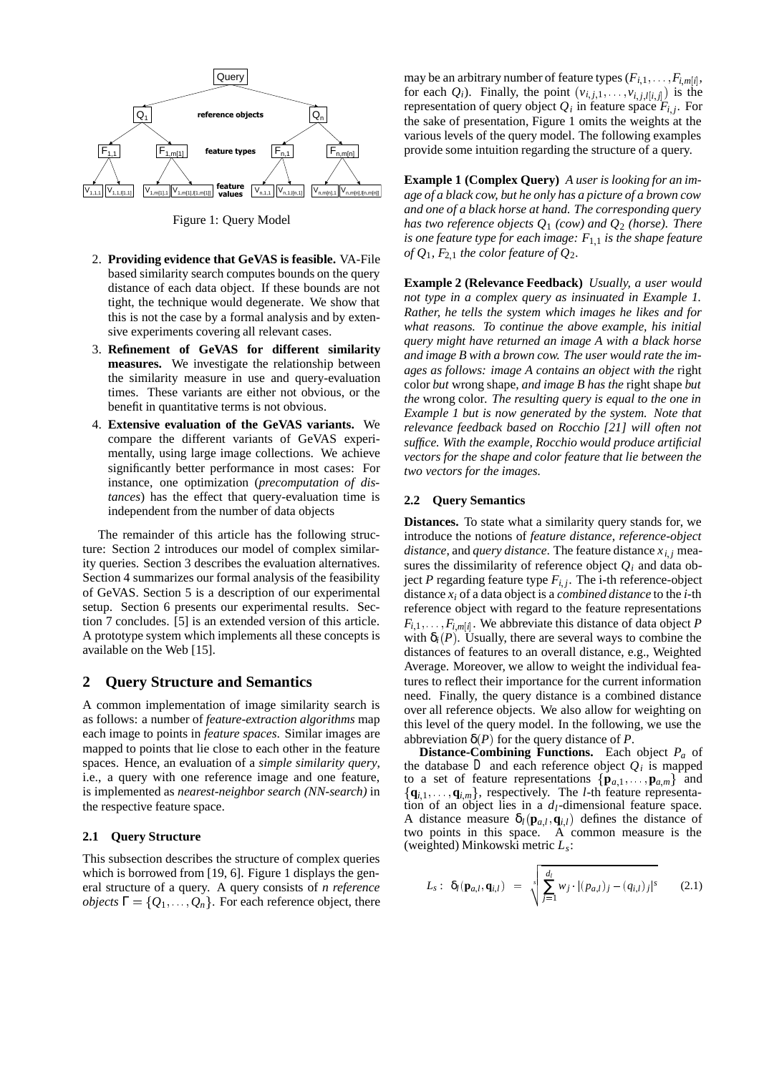

Figure 1: Query Model

- 2. **Providing evidence that GeVAS is feasible.** VA-File based similarity search computes bounds on the query distance of each data object. If these bounds are not tight, the technique would degenerate. We show that this is not the case by a formal analysis and by extensive experiments covering all relevant cases.
- 3. **Refinement of GeVAS for different similarity measures.** We investigate the relationship between the similarity measure in use and query-evaluation times. These variants are either not obvious, or the benefit in quantitative terms is not obvious.
- 4. **Extensive evaluation of the GeVAS variants.** We compare the different variants of GeVAS experimentally, using large image collections. We achieve significantly better performance in most cases: For instance, one optimization (*precomputation of distances*) has the effect that query-evaluation time is independent from the number of data objects

The remainder of this article has the following structure: Section 2 introduces our model of complex similarity queries. Section 3 describes the evaluation alternatives. Section 4 summarizes our formal analysis of the feasibility of GeVAS. Section 5 is a description of our experimental setup. Section 6 presents our experimental results. Section 7 concludes. [5] is an extended version of this article. A prototype system which implements all these concepts is available on the Web [15].

# **2 Query Structure and Semantics**

A common implementation of image similarity search is as follows: a number of *feature-extraction algorithms* map each image to points in *feature spaces*. Similar images are mapped to points that lie close to each other in the feature spaces. Hence, an evaluation of a *simple similarity query*, i.e., a query with one reference image and one feature, is implemented as *nearest-neighbor search (NN-search)* in the respective feature space.

# **2.1 Query Structure**

This subsection describes the structure of complex queries which is borrowed from [19, 6]. Figure 1 displays the general structure of a query. A query consists of *n reference objects*  $\Gamma = \{Q_1, \ldots, Q_n\}$ . For each reference object, there

may be an arbitrary number of feature types  $(F_{i,1},\ldots,F_{i,m[i]},$ for each  $Q_i$ ). Finally, the point  $(v_{i,j,1},...,v_{i,j,l[i,j]})$  is the representation of query object  $Q_i$  in feature space  $F_i$ ; For the sake of presentation, Figure 1 omits the weights at the various levels of the query model. The following examples provide some intuition regarding the structure of a query.

**Example 1 (Complex Query)** *A user is looking for an image of a black cow, but he only has a picture of a brown cow and one of a black horse at hand. The corresponding query has two reference objects Q*<sup>1</sup> *(cow) and Q*<sup>2</sup> *(horse). There is one feature type for each image:*  $F_{1,1}$  *is the shape feature of*  $Q_1$ ,  $F_{2,1}$  *the color feature of*  $Q_2$ *.* 

**Example 2 (Relevance Feedback)** *Usually, a user would not type in a complex query as insinuated in Example 1. Rather, he tells the system which images he likes and for what reasons. To continue the above example, his initial query might have returned an image A with a black horse and image B with a brown cow. The user would rate the images as follows: image A contains an object with the* right color *but* wrong shape*, and image B has the* right shape *but the* wrong color*. The resulting query is equal to the one in Example 1 but is now generated by the system. Note that relevance feedback based on Rocchio [21] will often not suffice. With the example, Rocchio would produce artificial vectors for the shape and color feature that lie between the two vectors for the images.*

### **2.2 Query Semantics**

**Distances.** To state what a similarity query stands for, we introduce the notions of *feature distance*, *reference-object distance*, and *query distance*. The feature distance  $x_{i,j}$  measures the dissimilarity of reference object  $Q_i$  and data object *P* regarding feature type  $F_{i,j}$ . The i-th reference-object distance *xi* of a data object is a *combined distance* to the *i*-th reference object with regard to the feature representations  $F_{i,1},\ldots,F_{i,m[i]}$ . We abbreviate this distance of data object *P* with  $\delta_i(P)$ . Usually, there are several ways to combine the distances of features to an overall distance, e.g., Weighted Average. Moreover, we allow to weight the individual features to reflect their importance for the current information need. Finally, the query distance is a combined distance over all reference objects. We also allow for weighting on this level of the query model. In the following, we use the abbreviation  $\delta(P)$  for the query distance of *P*.

**Distance-Combining Functions.** Each object *Pa* of the database  $D$  and each reference object  $Q_i$  is mapped to a set of feature representations  $\{\mathbf{p}_{a,1}, \ldots, \mathbf{p}_{a,m}\}\$  and  ${q_{i,1}, \ldots, q_{i,m}}$ , respectively. The *l*-th feature representation of an object lies in a  $d_l$ -dimensional feature space. A distance measure  $\delta_l(\mathbf{p}_{a,l}, \mathbf{q}_{i,l})$  defines the distance of two points in this space. A common measure is the (weighted) Minkowski metric *Ls*:

$$
L_s: \delta_l(\mathbf{p}_{a,l}, \mathbf{q}_{i,l}) = \sqrt{\sum_{j=1}^{d_l} w_j \cdot |(p_{a,l})_j - (q_{i,l})_j|^s}
$$
 (2.1)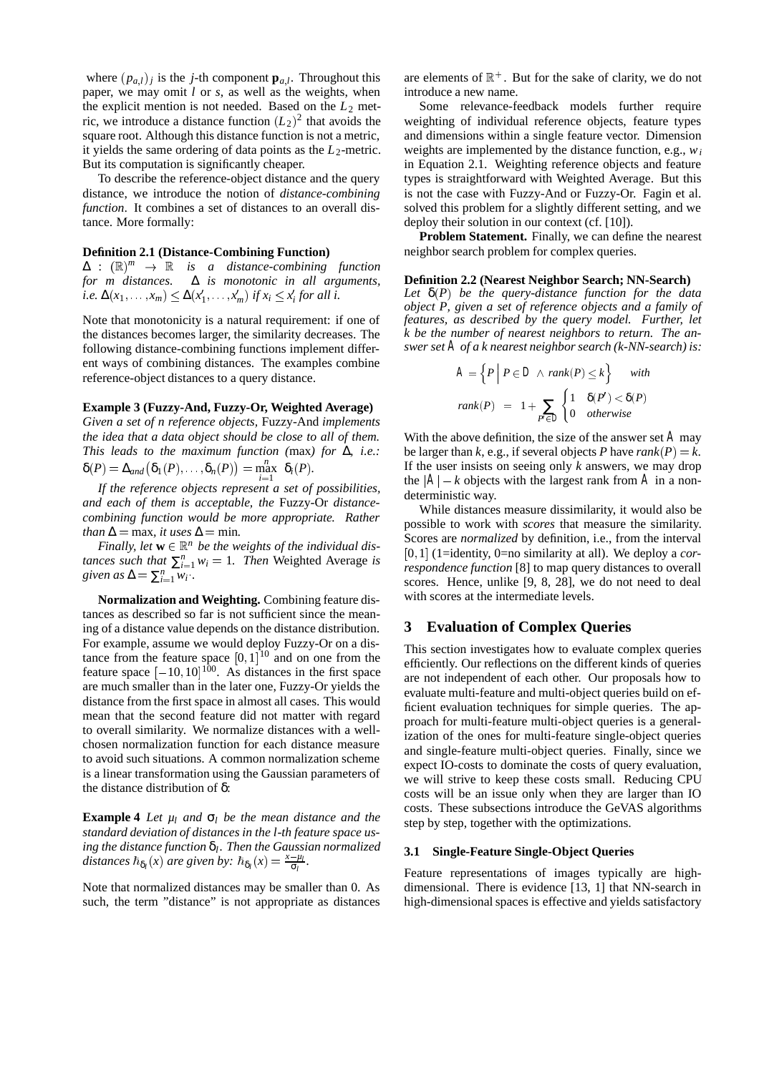where  $(p_{a,l})_i$  is the *j*-th component  $\mathbf{p}_{a,l}$ . Throughout this paper, we may omit *l* or *s*, as well as the weights, when the explicit mention is not needed. Based on the  $L_2$  metric, we introduce a distance function  $(L_2)^2$  that avoids the square root. Although this distance function is not a metric, it vields the same ordering of data points as the  $L_2$ -metric. But its computation is significantly cheaper.

To describe the reference-object distance and the query distance, we introduce the notion of *distance-combining function*. It combines a set of distances to an overall distance. More formally:

### **Definition 2.1 (Distance-Combining Function)**

 $\Delta$  :  $(\mathbb{R})^m$   $\rightarrow$   $\mathbb{R}$  *is a distance-combining function for m distances.* ∆ *is monotonic in all arguments,*  $i.e. \Delta(x_1, \ldots, x_m) \leq \Delta(x'_1, \ldots, x'_m) \text{ if } x_i \leq x'_i \text{ for all } i.$ 

Note that monotonicity is a natural requirement: if one of the distances becomes larger, the similarity decreases. The following distance-combining functions implement different ways of combining distances. The examples combine reference-object distances to a query distance.

# **Example 3 (Fuzzy-And, Fuzzy-Or, Weighted Average)**

*Given a set of n reference objects,* Fuzzy-And *implements the idea that a data object should be close to all of them. This leads to the maximum function (*max*) for* ∆*, i.e.:*  $\delta(P) = \Delta_{and}(\delta_1(P), \ldots, \delta_n(P)) = \max_{i=1}^n \delta_i(P).$ 

*If the reference objects represent a set of possibilities, and each of them is acceptable, the* Fuzzy-Or *distancecombining function would be more appropriate. Rather than*  $\Delta$  = max, *it uses*  $\Delta$  = min.

*Finally, let*  $w \in \mathbb{R}^n$  *be the weights of the individual distances such that*  $\sum_{i=1}^{n} w_i = 1$ *. Then* Weighted Average *is given as*  $\Delta = \sum_{i=1}^{n} w_i$ .

**Normalization and Weighting.** Combining feature distances as described so far is not sufficient since the meaning of a distance value depends on the distance distribution. For example, assume we would deploy Fuzzy-Or on a distance from the feature space  $[0, 1]^{10}$  and on one from the feature space  $[-10, 10]^{100}$ . As distances in the first space are much smaller than in the later one, Fuzzy-Or yields the distance from the first space in almost all cases. This would mean that the second feature did not matter with regard to overall similarity. We normalize distances with a wellchosen normalization function for each distance measure to avoid such situations. A common normalization scheme is a linear transformation using the Gaussian parameters of the distance distribution of δ:

**Example 4** *Let*  $\mu_l$  *and*  $\sigma_l$  *be the mean distance and the standard deviation of distances in the l-th feature space using the distance function* δ*l. Then the Gaussian normalized distances*  $\hbar_{\delta_l}(x)$  *are given by:*  $\hbar_{\delta_l}(x) = \frac{x - \mu_l}{\sigma_l}$ .

Note that normalized distances may be smaller than 0. As such, the term "distance" is not appropriate as distances

are elements of  $\mathbb{R}^+$ . But for the sake of clarity, we do not introduce a new name.

Some relevance-feedback models further require weighting of individual reference objects, feature types and dimensions within a single feature vector. Dimension weights are implemented by the distance function, e.g., *wi* in Equation 2.1. Weighting reference objects and feature types is straightforward with Weighted Average. But this is not the case with Fuzzy-And or Fuzzy-Or. Fagin et al. solved this problem for a slightly different setting, and we deploy their solution in our context (cf. [10]).

**Problem Statement.** Finally, we can define the nearest neighbor search problem for complex queries.

### **Definition 2.2 (Nearest Neighbor Search; NN-Search)**

*Let* δ(*P*) *be the query-distance function for the data object P, given a set of reference objects and a family of features, as described by the query model. Further, let k be the number of nearest neighbors to return. The answer set A of a k nearest neighbor search (k-NN-search) is:*

$$
A = \left\{ P \mid P \in D \land rank(P) \le k \right\} \quad with
$$

$$
rank(P) = 1 + \sum_{P \in D} \begin{cases} 1 & \delta(P') < \delta(P) \\ 0 & otherwise \end{cases}
$$

With the above definition, the size of the answer set *A* may be larger than  $k$ , e.g., if several objects  $P$  have  $rank(P) = k$ . If the user insists on seeing only *k* answers, we may drop the  $|A| - k$  objects with the largest rank from *A* in a nondeterministic way.

While distances measure dissimilarity, it would also be possible to work with *scores* that measure the similarity. Scores are *normalized* by definition, i.e., from the interval [0; 1] (1=identity, 0=no similarity at all). We deploy a *correspondence function* [8] to map query distances to overall scores. Hence, unlike [9, 8, 28], we do not need to deal with scores at the intermediate levels.

# **3 Evaluation of Complex Queries**

This section investigates how to evaluate complex queries efficiently. Our reflections on the different kinds of queries are not independent of each other. Our proposals how to evaluate multi-feature and multi-object queries build on efficient evaluation techniques for simple queries. The approach for multi-feature multi-object queries is a generalization of the ones for multi-feature single-object queries and single-feature multi-object queries. Finally, since we expect IO-costs to dominate the costs of query evaluation, we will strive to keep these costs small. Reducing CPU costs will be an issue only when they are larger than IO costs. These subsections introduce the GeVAS algorithms step by step, together with the optimizations.

### **3.1 Single-Feature Single-Object Queries**

Feature representations of images typically are highdimensional. There is evidence [13, 1] that NN-search in high-dimensional spaces is effective and yields satisfactory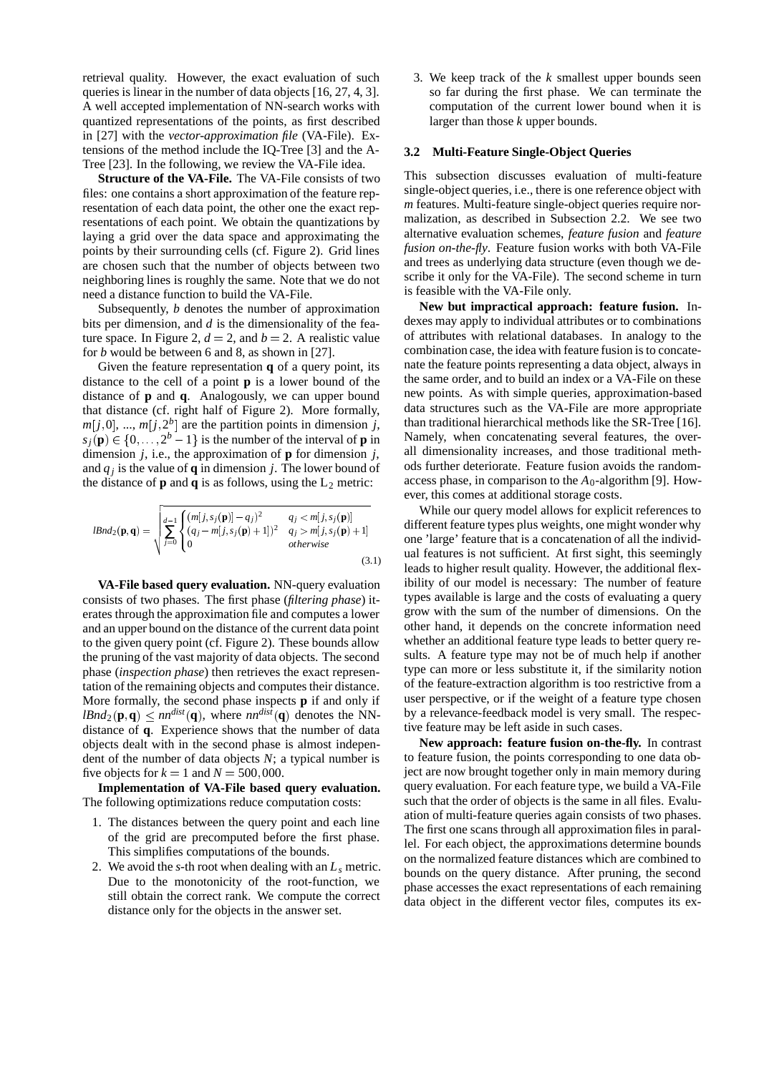retrieval quality. However, the exact evaluation of such queries is linear in the number of data objects [16, 27, 4, 3]. A well accepted implementation of NN-search works with quantized representations of the points, as first described in [27] with the *vector-approximation file* (VA-File). Extensions of the method include the IQ-Tree [3] and the A-Tree [23]. In the following, we review the VA-File idea.

**Structure of the VA-File.** The VA-File consists of two files: one contains a short approximation of the feature representation of each data point, the other one the exact representations of each point. We obtain the quantizations by laying a grid over the data space and approximating the points by their surrounding cells (cf. Figure 2). Grid lines are chosen such that the number of objects between two neighboring lines is roughly the same. Note that we do not need a distance function to build the VA-File.

Subsequently, *b* denotes the number of approximation bits per dimension, and *d* is the dimensionality of the feature space. In Figure 2,  $d = 2$ , and  $b = 2$ . A realistic value for *b* would be between 6 and 8, as shown in [27].

Given the feature representation **q** of a query point, its distance to the cell of a point **p** is a lower bound of the distance of **p** and **q**. Analogously, we can upper bound that distance (cf. right half of Figure 2). More formally,  $m[j,0], \ldots, m[j,2^b]$  are the partition points in dimension *j*,  $s_j(\mathbf{p}) \in \{0, \ldots, 2^b - 1\}$  is the number of the interval of **p** in dimension *j*, i.e., the approximation of **p** for dimension *j*, and  $q_i$  is the value of **q** in dimension *j*. The lower bound of the distance of  $\bf{p}$  and  $\bf{q}$  is as follows, using the  $L_2$  metric:

$$
lBnd_2(\mathbf{p}, \mathbf{q}) = \sqrt{\sum_{j=0}^{d-1} \begin{cases} (m[j, s_j(\mathbf{p})] - q_j)^2 & q_j < m[j, s_j(\mathbf{p})] \\ (q_j - m[j, s_j(\mathbf{p}) + 1])^2 & q_j > m[j, s_j(\mathbf{p}) + 1] \\ 0 & otherwise \end{cases}} \qquad \text{diff} \qquad \text{on}
$$
\n(3.1)

**VA-File based query evaluation.** NN-query evaluation consists of two phases. The first phase (*filtering phase*) iterates through the approximation file and computes a lower and an upper bound on the distance of the current data point to the given query point (cf. Figure 2). These bounds allow the pruning of the vast majority of data objects. The second phase (*inspection phase*) then retrieves the exact representation of the remaining objects and computes their distance. More formally, the second phase inspects **p** if and only if  $lBnd_2(\mathbf{p}, \mathbf{q}) \leq nn^{dist}(\mathbf{q})$ , where  $nn^{dist}(\mathbf{q})$  denotes the NNdistance of **q**. Experience shows that the number of data objects dealt with in the second phase is almost independent of the number of data objects *N*; a typical number is five objects for  $k = 1$  and  $N = 500,000$ .

**Implementation of VA-File based query evaluation.** The following optimizations reduce computation costs:

- 1. The distances between the query point and each line of the grid are precomputed before the first phase. This simplifies computations of the bounds.
- 2. We avoid the *s*-th root when dealing with an *Ls* metric. Due to the monotonicity of the root-function, we still obtain the correct rank. We compute the correct distance only for the objects in the answer set.

3. We keep track of the *k* smallest upper bounds seen so far during the first phase. We can terminate the computation of the current lower bound when it is larger than those *k* upper bounds.

### **3.2 Multi-Feature Single-Object Queries**

This subsection discusses evaluation of multi-feature single-object queries, i.e., there is one reference object with *m* features. Multi-feature single-object queries require normalization, as described in Subsection 2.2. We see two alternative evaluation schemes, *feature fusion* and *feature fusion on-the-fly*. Feature fusion works with both VA-File and trees as underlying data structure (even though we describe it only for the VA-File). The second scheme in turn is feasible with the VA-File only.

**New but impractical approach: feature fusion.** Indexes may apply to individual attributes or to combinations of attributes with relational databases. In analogy to the combination case, the idea with feature fusion is to concatenate the feature points representing a data object, always in the same order, and to build an index or a VA-File on these new points. As with simple queries, approximation-based data structures such as the VA-File are more appropriate than traditional hierarchical methods like the SR-Tree [16]. Namely, when concatenating several features, the overall dimensionality increases, and those traditional methods further deteriorate. Feature fusion avoids the randomaccess phase, in comparison to the  $A_0$ -algorithm [9]. However, this comes at additional storage costs.

While our query model allows for explicit references to different feature types plus weights, one might wonder why one 'large' feature that is a concatenation of all the individual features is not sufficient. At first sight, this seemingly leads to higher result quality. However, the additional flexibility of our model is necessary: The number of feature types available is large and the costs of evaluating a query grow with the sum of the number of dimensions. On the other hand, it depends on the concrete information need whether an additional feature type leads to better query results. A feature type may not be of much help if another type can more or less substitute it, if the similarity notion of the feature-extraction algorithm is too restrictive from a user perspective, or if the weight of a feature type chosen by a relevance-feedback model is very small. The respective feature may be left aside in such cases.

**New approach: feature fusion on-the-fly.** In contrast to feature fusion, the points corresponding to one data object are now brought together only in main memory during query evaluation. For each feature type, we build a VA-File such that the order of objects is the same in all files. Evaluation of multi-feature queries again consists of two phases. The first one scans through all approximation files in parallel. For each object, the approximations determine bounds on the normalized feature distances which are combined to bounds on the query distance. After pruning, the second phase accesses the exact representations of each remaining data object in the different vector files, computes its ex-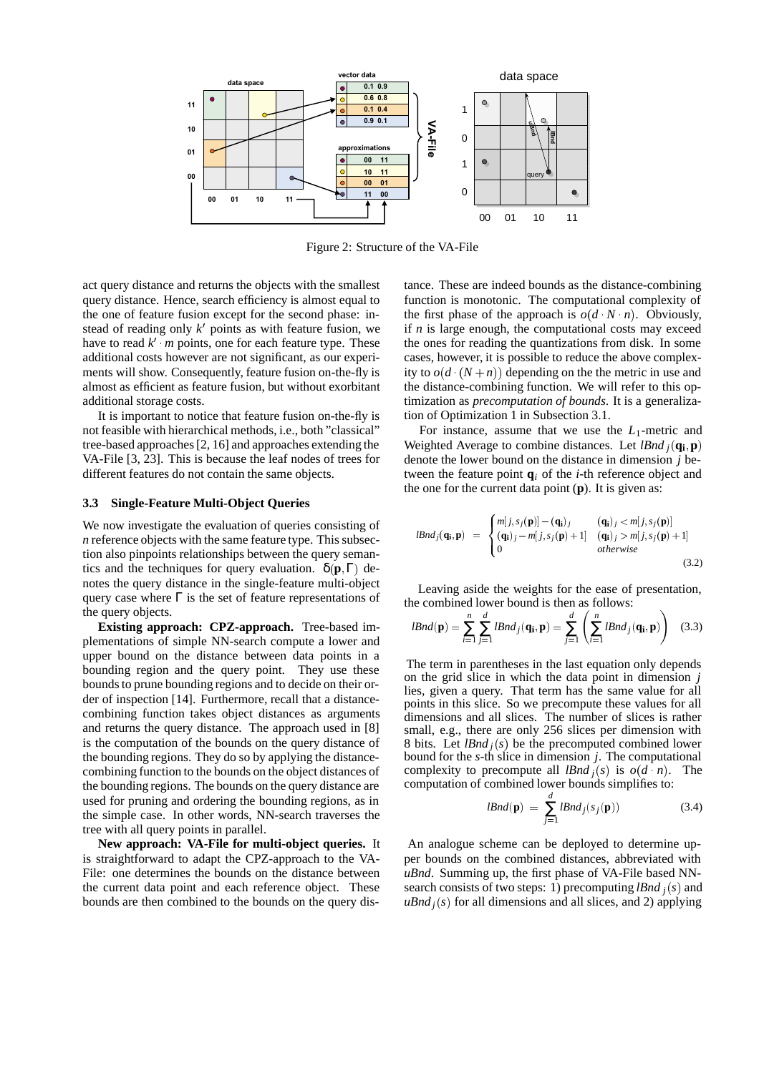

Figure 2: Structure of the VA-File

act query distance and returns the objects with the smallest query distance. Hence, search efficiency is almost equal to the one of feature fusion except for the second phase: instead of reading only  $k'$  points as with feature fusion, we have to read  $k'$  *m* points, one for each feature type. These additional costs however are not significant, as our experiments will show. Consequently, feature fusion on-the-fly is almost as efficient as feature fusion, but without exorbitant additional storage costs.

It is important to notice that feature fusion on-the-fly is not feasible with hierarchical methods, i.e., both "classical" tree-based approaches [2, 16] and approaches extending the VA-File [3, 23]. This is because the leaf nodes of trees for different features do not contain the same objects.

#### **3.3 Single-Feature Multi-Object Queries**

We now investigate the evaluation of queries consisting of *n* reference objects with the same feature type. This subsection also pinpoints relationships between the query semantics and the techniques for query evaluation.  $\delta(\mathbf{p}, \Gamma)$  denotes the query distance in the single-feature multi-object query case where  $\Gamma$  is the set of feature representations of the query objects.

**Existing approach: CPZ-approach.** Tree-based implementations of simple NN-search compute a lower and upper bound on the distance between data points in a bounding region and the query point. They use these bounds to prune bounding regions and to decide on their order of inspection [14]. Furthermore, recall that a distancecombining function takes object distances as arguments and returns the query distance. The approach used in [8] is the computation of the bounds on the query distance of the bounding regions. They do so by applying the distancecombining function to the bounds on the object distances of the bounding regions. The bounds on the query distance are used for pruning and ordering the bounding regions, as in the simple case. In other words, NN-search traverses the tree with all query points in parallel.

**New approach: VA-File for multi-object queries.** It is straightforward to adapt the CPZ-approach to the VA-File: one determines the bounds on the distance between the current data point and each reference object. These bounds are then combined to the bounds on the query distance. These are indeed bounds as the distance-combining function is monotonic. The computational complexity of the first phase of the approach is  $o(d \cdot N \cdot n)$ . Obviously, if *n* is large enough, the computational costs may exceed the ones for reading the quantizations from disk. In some cases, however, it is possible to reduce the above complexity to  $o(d \cdot (N+n))$  depending on the the metric in use and the distance-combining function. We will refer to this optimization as *precomputation of bounds*. It is a generalization of Optimization 1 in Subsection 3.1.

For instance, assume that we use the *L*1-metric and Weighted Average to combine distances. Let *lBnd*  $_i$  ( $\mathbf{q_i}, \mathbf{p}$ ) denote the lower bound on the distance in dimension *j* between the feature point  $q_i$  of the *i*-th reference object and the one for the current data point (**p**). It is given as:

$$
lBnd_j(\mathbf{q_i}, \mathbf{p}) = \begin{cases} m[j, s_j(\mathbf{p})] - (\mathbf{q_i})_j & (\mathbf{q_i})_j < m[j, s_j(\mathbf{p})] \\ (\mathbf{q_i})_j - m[j, s_j(\mathbf{p}) + 1] & (\mathbf{q_i})_j > m[j, s_j(\mathbf{p}) + 1] \\ 0 &otherwise \end{cases} \tag{3.2}
$$

Leaving aside the weights for the ease of presentation, the combined lower bound is then as follows:

$$
lBnd(\mathbf{p}) = \sum_{i=1}^{n} \sum_{j=1}^{d} lBnd_j(\mathbf{q_i}, \mathbf{p}) = \sum_{j=1}^{d} \left( \sum_{i=1}^{n} lBnd_j(\mathbf{q_i}, \mathbf{p}) \right) \quad (3.3)
$$

The term in parentheses in the last equation only depends on the grid slice in which the data point in dimension *j* lies, given a query. That term has the same value for all points in this slice. So we precompute these values for all dimensions and all slices. The number of slices is rather small, e.g., there are only 256 slices per dimension with 8 bits. Let  $lBnd<sub>j</sub>(s)$  be the precomputed combined lower bound for the *s*-th slice in dimension *j*. The computational complexity to precompute all *lBnd*  $_j(s)$  is  $o(d \, n)$ . The computation of combined lower bounds simplifies to:

$$
lBnd(\mathbf{p}) = \sum_{j=1}^{d} lBnd_j(s_j(\mathbf{p}))
$$
 (3.4)

An analogue scheme can be deployed to determine upper bounds on the combined distances, abbreviated with *uBnd*. Summing up, the first phase of VA-File based NNsearch consists of two steps: 1) precomputing *lBnd <sup>j</sup>* (*s*) and  $uBnd<sub>j</sub>(s)$  for all dimensions and all slices, and 2) applying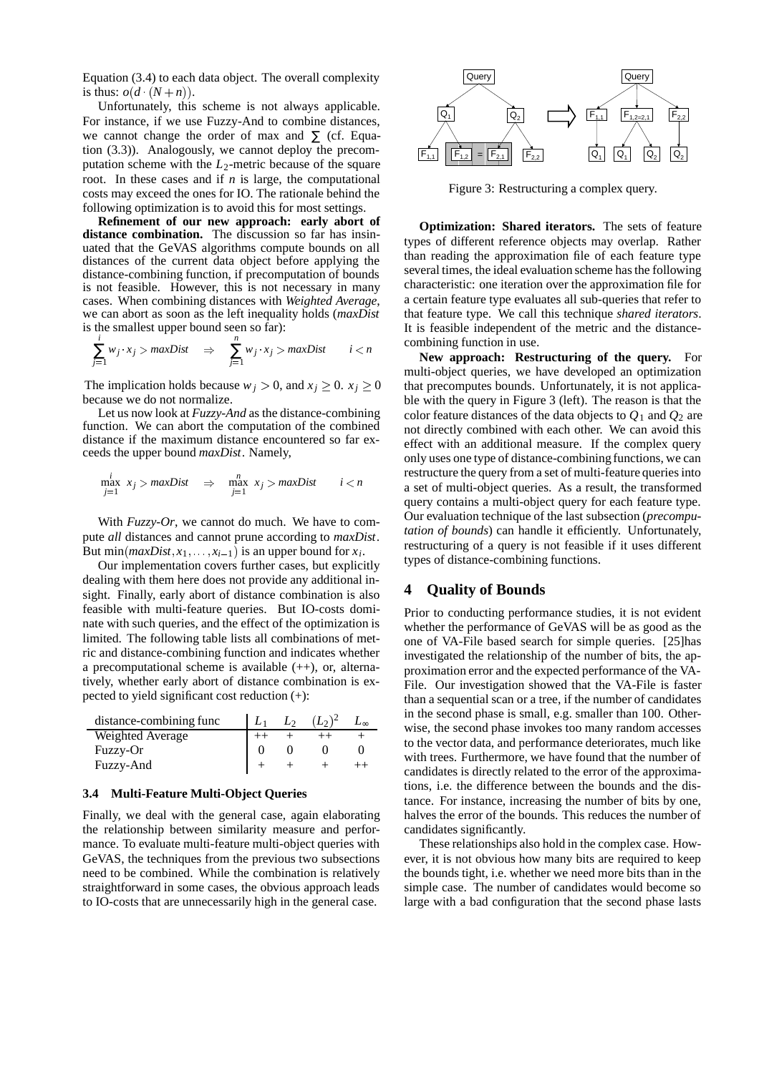Equation (3.4) to each data object. The overall complexity is thus:  $o(d \cdot (N+n))$ .

Unfortunately, this scheme is not always applicable. For instance, if we use Fuzzy-And to combine distances, we cannot change the order of max and  $\Sigma$  (cf. Equation (3.3)). Analogously, we cannot deploy the precomputation scheme with the  $L_2$ -metric because of the square root. In these cases and if *n* is large, the computational costs may exceed the ones for IO. The rationale behind the following optimization is to avoid this for most settings.

**Refinement of our new approach: early abort of distance combination.** The discussion so far has insinuated that the GeVAS algorithms compute bounds on all distances of the current data object before applying the distance-combining function, if precomputation of bounds is not feasible. However, this is not necessary in many cases. When combining distances with *Weighted Average*, we can abort as soon as the left inequality holds (*maxDist* is the smallest upper bound seen so far):

$$
\sum_{j=1}^{i} w_j \cdot x_j > \text{maxDist} \quad \Rightarrow \quad \sum_{j=1}^{n} w_j \cdot x_j > \text{maxDist} \quad \quad i < n \quad \text{coml}
$$

The implication holds because  $w_j > 0$ , and  $x_j \geq 0$ .  $x_j \geq 0$ because we do not normalize.

Let us now look at *Fuzzy-And* as the distance-combining function. We can abort the computation of the combined distance if the maximum distance encountered so far exceeds the upper bound *maxDist*. Namely,

$$
\max_{j=1}^i x_j > maxDist \Rightarrow \max_{j=1}^n x_j > maxDist \quad i < n
$$

With *Fuzzy-Or*, we cannot do much. We have to compute *all* distances and cannot prune according to *maxDist*. But min( $maxDist, x_1, \ldots, x_{i-1}$ ) is an upper bound for  $x_i$ .

Our implementation covers further cases, but explicitly dealing with them here does not provide any additional insight. Finally, early abort of distance combination is also feasible with multi-feature queries. But IO-costs dominate with such queries, and the effect of the optimization is limited. The following table lists all combinations of metric and distance-combining function and indicates whether a precomputational scheme is available  $(+)$ , or, alternatively, whether early abort of distance combination is expected to yield significant cost reduction (+):

| distance-combining func | Lэ | $(L_2)^2$ |  |
|-------------------------|----|-----------|--|
| Weighted Average        |    |           |  |
| Fuzzy-Or                |    |           |  |
| Fuzzy-And               |    |           |  |

## **3.4 Multi-Feature Multi-Object Queries**

Finally, we deal with the general case, again elaborating the relationship between similarity measure and performance. To evaluate multi-feature multi-object queries with GeVAS, the techniques from the previous two subsections need to be combined. While the combination is relatively straightforward in some cases, the obvious approach leads to IO-costs that are unnecessarily high in the general case.



Figure 3: Restructuring a complex query.

**Optimization: Shared iterators.** The sets of feature types of different reference objects may overlap. Rather than reading the approximation file of each feature type several times, the ideal evaluation scheme has the following characteristic: one iteration over the approximation file for a certain feature type evaluates all sub-queries that refer to that feature type. We call this technique *shared iterators*. It is feasible independent of the metric and the distancecombining function in use.

**New approach: Restructuring of the query.** For multi-object queries, we have developed an optimization that precomputes bounds. Unfortunately, it is not applicable with the query in Figure 3 (left). The reason is that the color feature distances of the data objects to  $Q_1$  and  $Q_2$  are not directly combined with each other. We can avoid this effect with an additional measure. If the complex query only uses one type of distance-combining functions, we can restructure the query from a set of multi-feature queries into a set of multi-object queries. As a result, the transformed query contains a multi-object query for each feature type. Our evaluation technique of the last subsection (*precomputation of bounds*) can handle it efficiently. Unfortunately, restructuring of a query is not feasible if it uses different types of distance-combining functions.

# **4 Quality of Bounds**

Prior to conducting performance studies, it is not evident whether the performance of GeVAS will be as good as the one of VA-File based search for simple queries. [25]has investigated the relationship of the number of bits, the approximation error and the expected performance of the VA-File. Our investigation showed that the VA-File is faster than a sequential scan or a tree, if the number of candidates in the second phase is small, e.g. smaller than 100. Otherwise, the second phase invokes too many random accesses to the vector data, and performance deteriorates, much like with trees. Furthermore, we have found that the number of candidates is directly related to the error of the approximations, i.e. the difference between the bounds and the distance. For instance, increasing the number of bits by one, halves the error of the bounds. This reduces the number of candidates significantly.

These relationships also hold in the complex case. However, it is not obvious how many bits are required to keep the bounds tight, i.e. whether we need more bits than in the simple case. The number of candidates would become so large with a bad configuration that the second phase lasts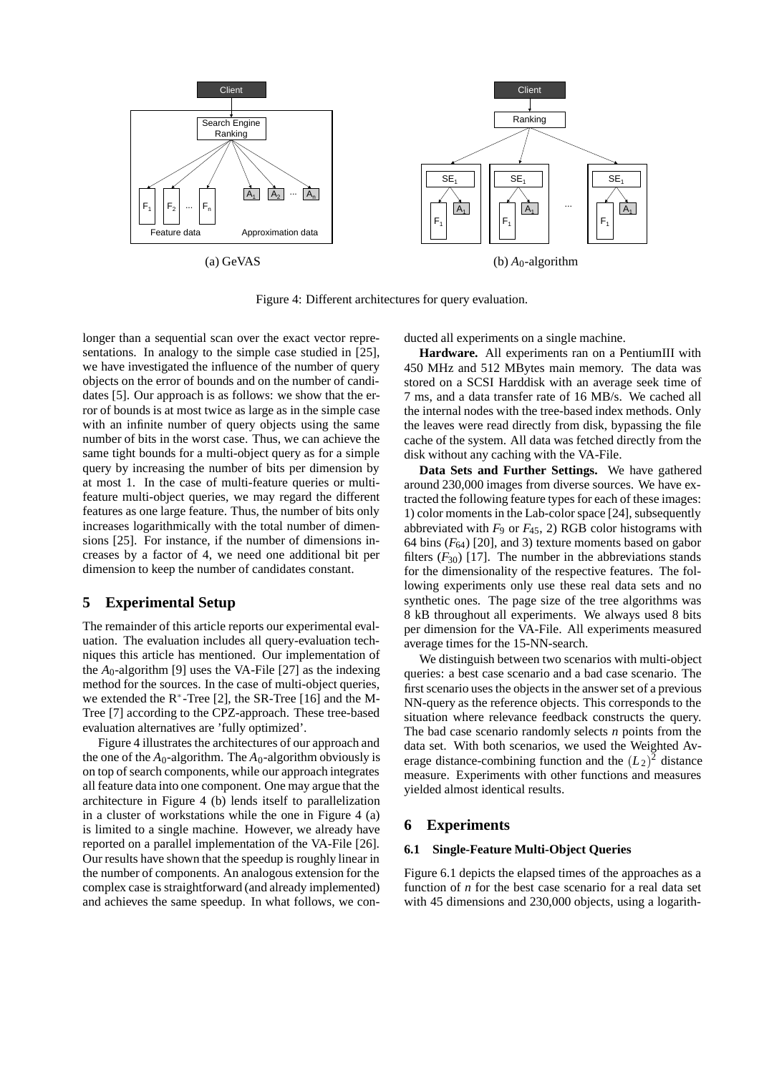

Figure 4: Different architectures for query evaluation.

longer than a sequential scan over the exact vector representations. In analogy to the simple case studied in [25], we have investigated the influence of the number of query objects on the error of bounds and on the number of candidates [5]. Our approach is as follows: we show that the error of bounds is at most twice as large as in the simple case with an infinite number of query objects using the same number of bits in the worst case. Thus, we can achieve the same tight bounds for a multi-object query as for a simple query by increasing the number of bits per dimension by at most 1. In the case of multi-feature queries or multifeature multi-object queries, we may regard the different features as one large feature. Thus, the number of bits only increases logarithmically with the total number of dimensions [25]. For instance, if the number of dimensions increases by a factor of 4, we need one additional bit per dimension to keep the number of candidates constant.

# **5 Experimental Setup**

The remainder of this article reports our experimental evaluation. The evaluation includes all query-evaluation techniques this article has mentioned. Our implementation of the  $A_0$ -algorithm [9] uses the VA-File [27] as the indexing method for the sources. In the case of multi-object queries, we extended the  $R^*$ -Tree [2], the SR-Tree [16] and the M-Tree [7] according to the CPZ-approach. These tree-based evaluation alternatives are 'fully optimized'.

Figure 4 illustrates the architectures of our approach and the one of the  $A_0$ -algorithm. The  $A_0$ -algorithm obviously is on top of search components, while our approach integrates all feature data into one component. One may argue that the architecture in Figure 4 (b) lends itself to parallelization in a cluster of workstations while the one in Figure 4 (a) is limited to a single machine. However, we already have reported on a parallel implementation of the VA-File [26]. Our results have shown that the speedup is roughly linear in the number of components. An analogous extension for the complex case is straightforward (and already implemented) and achieves the same speedup. In what follows, we conducted all experiments on a single machine.

**Hardware.** All experiments ran on a PentiumIII with 450 MHz and 512 MBytes main memory. The data was stored on a SCSI Harddisk with an average seek time of 7 ms, and a data transfer rate of 16 MB/s. We cached all the internal nodes with the tree-based index methods. Only the leaves were read directly from disk, bypassing the file cache of the system. All data was fetched directly from the disk without any caching with the VA-File.

**Data Sets and Further Settings.** We have gathered around 230,000 images from diverse sources. We have extracted the following feature types for each of these images: 1) color moments in the Lab-color space [24], subsequently abbreviated with  $F_9$  or  $F_{45}$ , 2) RGB color histograms with 64 bins  $(F_{64})$  [20], and 3) texture moments based on gabor filters  $(F_{30})$  [17]. The number in the abbreviations stands for the dimensionality of the respective features. The following experiments only use these real data sets and no synthetic ones. The page size of the tree algorithms was 8 kB throughout all experiments. We always used 8 bits per dimension for the VA-File. All experiments measured average times for the 15-NN-search.

We distinguish between two scenarios with multi-object queries: a best case scenario and a bad case scenario. The first scenario uses the objects in the answer set of a previous NN-query as the reference objects. This corresponds to the situation where relevance feedback constructs the query. The bad case scenario randomly selects *n* points from the data set. With both scenarios, we used the Weighted Average distance-combining function and the  $(L_2)^2$  distance measure. Experiments with other functions and measures yielded almost identical results.

# **6 Experiments**

### **6.1 Single-Feature Multi-Object Queries**

Figure 6.1 depicts the elapsed times of the approaches as a function of *n* for the best case scenario for a real data set with 45 dimensions and 230,000 objects, using a logarith-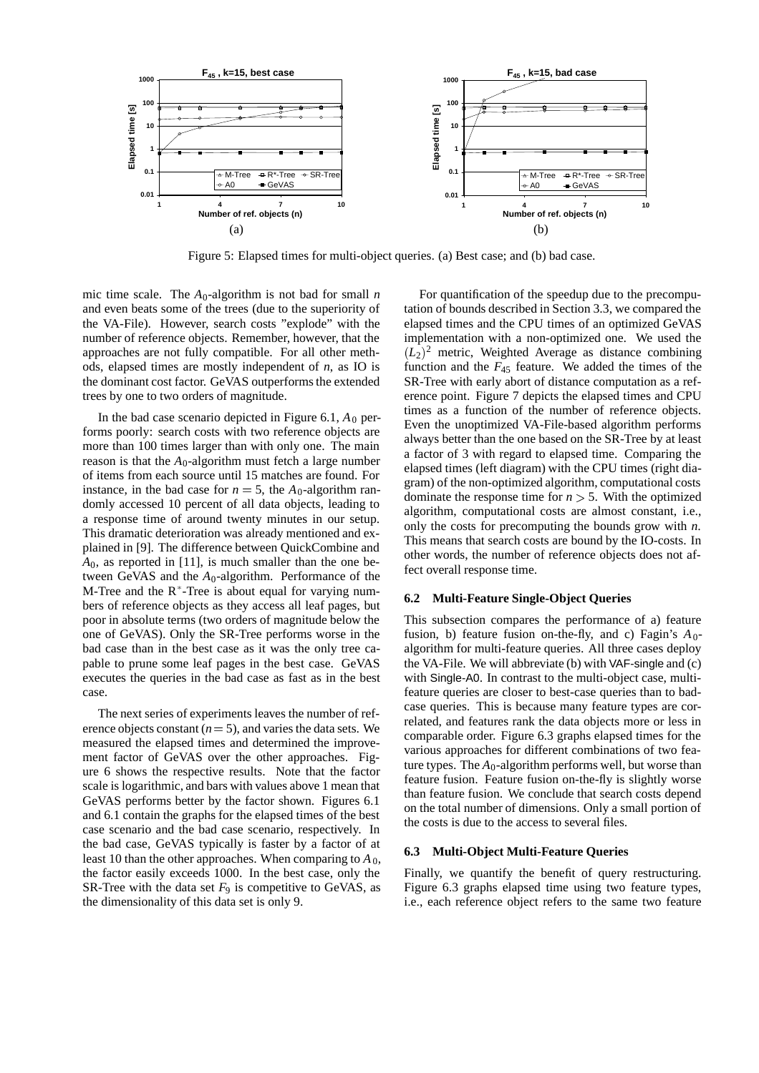

Figure 5: Elapsed times for multi-object queries. (a) Best case; and (b) bad case.

mic time scale. The  $A_0$ -algorithm is not bad for small *n* and even beats some of the trees (due to the superiority of the VA-File). However, search costs "explode" with the number of reference objects. Remember, however, that the approaches are not fully compatible. For all other methods, elapsed times are mostly independent of *n*, as IO is the dominant cost factor. GeVAS outperforms the extended trees by one to two orders of magnitude.

In the bad case scenario depicted in Figure  $6.1$ ,  $A_0$  performs poorly: search costs with two reference objects are more than 100 times larger than with only one. The main reason is that the  $A_0$ -algorithm must fetch a large number of items from each source until 15 matches are found. For instance, in the bad case for  $n = 5$ , the  $A_0$ -algorithm randomly accessed 10 percent of all data objects, leading to a response time of around twenty minutes in our setup. This dramatic deterioration was already mentioned and explained in [9]. The difference between QuickCombine and *A*0, as reported in [11], is much smaller than the one between GeVAS and the *A*0-algorithm. Performance of the M-Tree and the  $R^*$ -Tree is about equal for varying numbers of reference objects as they access all leaf pages, but poor in absolute terms (two orders of magnitude below the one of GeVAS). Only the SR-Tree performs worse in the bad case than in the best case as it was the only tree capable to prune some leaf pages in the best case. GeVAS executes the queries in the bad case as fast as in the best case.

The next series of experiments leaves the number of reference objects constant  $(n = 5)$ , and varies the data sets. We measured the elapsed times and determined the improvement factor of GeVAS over the other approaches. Figure 6 shows the respective results. Note that the factor scale is logarithmic, and bars with values above 1 mean that GeVAS performs better by the factor shown. Figures 6.1 and 6.1 contain the graphs for the elapsed times of the best case scenario and the bad case scenario, respectively. In the bad case, GeVAS typically is faster by a factor of at least 10 than the other approaches. When comparing to  $A_0$ , the factor easily exceeds 1000. In the best case, only the SR-Tree with the data set  $F_9$  is competitive to GeVAS, as the dimensionality of this data set is only 9.

For quantification of the speedup due to the precomputation of bounds described in Section 3.3, we compared the elapsed times and the CPU times of an optimized GeVAS implementation with a non-optimized one. We used the  $(L_2)^2$  metric, Weighted Average as distance combining function and the  $F_{45}$  feature. We added the times of the SR-Tree with early abort of distance computation as a reference point. Figure 7 depicts the elapsed times and CPU times as a function of the number of reference objects. Even the unoptimized VA-File-based algorithm performs always better than the one based on the SR-Tree by at least a factor of 3 with regard to elapsed time. Comparing the elapsed times (left diagram) with the CPU times (right diagram) of the non-optimized algorithm, computational costs dominate the response time for  $n > 5$ . With the optimized algorithm, computational costs are almost constant, i.e., only the costs for precomputing the bounds grow with *n*. This means that search costs are bound by the IO-costs. In other words, the number of reference objects does not affect overall response time.

## **6.2 Multi-Feature Single-Object Queries**

This subsection compares the performance of a) feature fusion, b) feature fusion on-the-fly, and c) Fagin's  $A_0$ algorithm for multi-feature queries. All three cases deploy the VA-File. We will abbreviate (b) with VAF-single and (c) with Single-A0. In contrast to the multi-object case, multifeature queries are closer to best-case queries than to badcase queries. This is because many feature types are correlated, and features rank the data objects more or less in comparable order. Figure 6.3 graphs elapsed times for the various approaches for different combinations of two feature types. The  $A_0$ -algorithm performs well, but worse than feature fusion. Feature fusion on-the-fly is slightly worse than feature fusion. We conclude that search costs depend on the total number of dimensions. Only a small portion of the costs is due to the access to several files.

### **6.3 Multi-Object Multi-Feature Queries**

Finally, we quantify the benefit of query restructuring. Figure 6.3 graphs elapsed time using two feature types, i.e., each reference object refers to the same two feature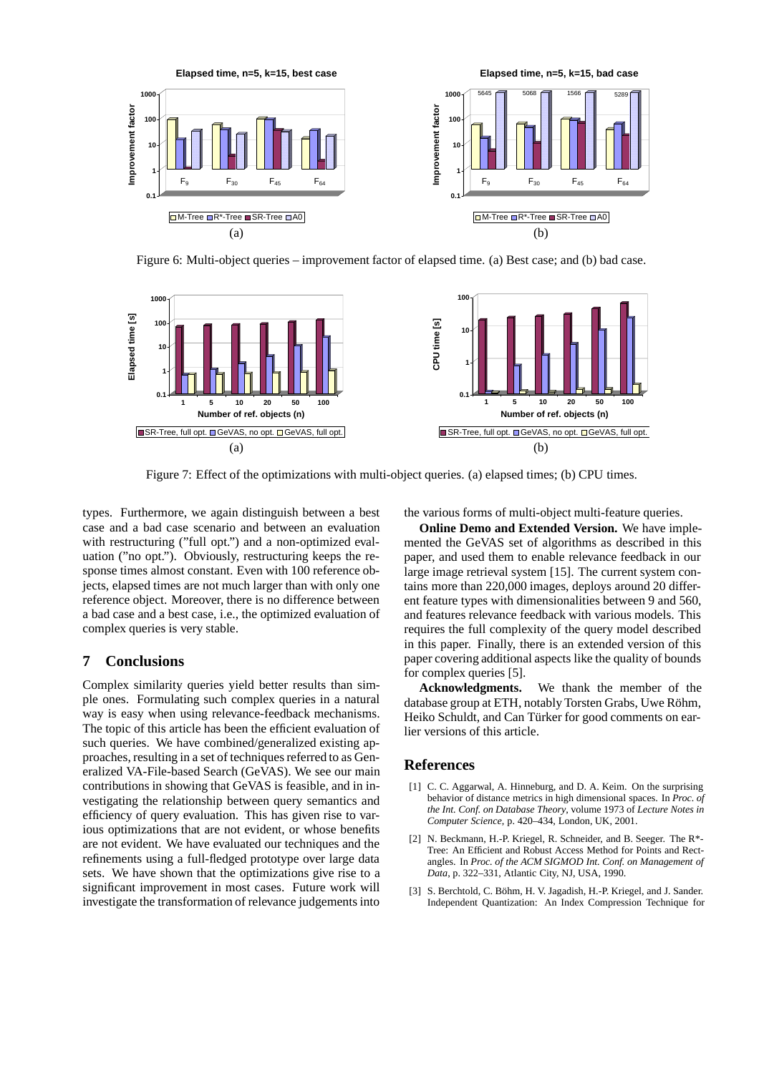

Figure 6: Multi-object queries – improvement factor of elapsed time. (a) Best case; and (b) bad case.



Figure 7: Effect of the optimizations with multi-object queries. (a) elapsed times; (b) CPU times.

types. Furthermore, we again distinguish between a best case and a bad case scenario and between an evaluation with restructuring ("full opt.") and a non-optimized evaluation ("no opt."). Obviously, restructuring keeps the response times almost constant. Even with 100 reference objects, elapsed times are not much larger than with only one reference object. Moreover, there is no difference between a bad case and a best case, i.e., the optimized evaluation of complex queries is very stable.

# **7 Conclusions**

Complex similarity queries yield better results than simple ones. Formulating such complex queries in a natural way is easy when using relevance-feedback mechanisms. The topic of this article has been the efficient evaluation of such queries. We have combined/generalized existing approaches, resulting in a set of techniques referred to as Generalized VA-File-based Search (GeVAS). We see our main contributions in showing that GeVAS is feasible, and in investigating the relationship between query semantics and efficiency of query evaluation. This has given rise to various optimizations that are not evident, or whose benefits are not evident. We have evaluated our techniques and the refinements using a full-fledged prototype over large data sets. We have shown that the optimizations give rise to a significant improvement in most cases. Future work will investigate the transformation of relevance judgements into the various forms of multi-object multi-feature queries.

**Online Demo and Extended Version.** We have implemented the GeVAS set of algorithms as described in this paper, and used them to enable relevance feedback in our large image retrieval system [15]. The current system contains more than 220,000 images, deploys around 20 different feature types with dimensionalities between 9 and 560, and features relevance feedback with various models. This requires the full complexity of the query model described in this paper. Finally, there is an extended version of this paper covering additional aspects like the quality of bounds for complex queries [5].

**Acknowledgments.** We thank the member of the database group at ETH, notably Torsten Grabs, Uwe Röhm, Heiko Schuldt, and Can Türker for good comments on earlier versions of this article.

# **References**

- [1] C. C. Aggarwal, A. Hinneburg, and D. A. Keim. On the surprising behavior of distance metrics in high dimensional spaces. In *Proc. of the Int. Conf. on Database Theory*, volume 1973 of *Lecture Notes in Computer Science*, p. 420–434, London, UK, 2001.
- [2] N. Beckmann, H.-P. Kriegel, R. Schneider, and B. Seeger. The R\*- Tree: An Efficient and Robust Access Method for Points and Rectangles. In *Proc. of the ACM SIGMOD Int. Conf. on Management of Data*, p. 322–331, Atlantic City, NJ, USA, 1990.
- [3] S. Berchtold, C. Böhm, H. V. Jagadish, H.-P. Kriegel, and J. Sander. Independent Quantization: An Index Compression Technique for